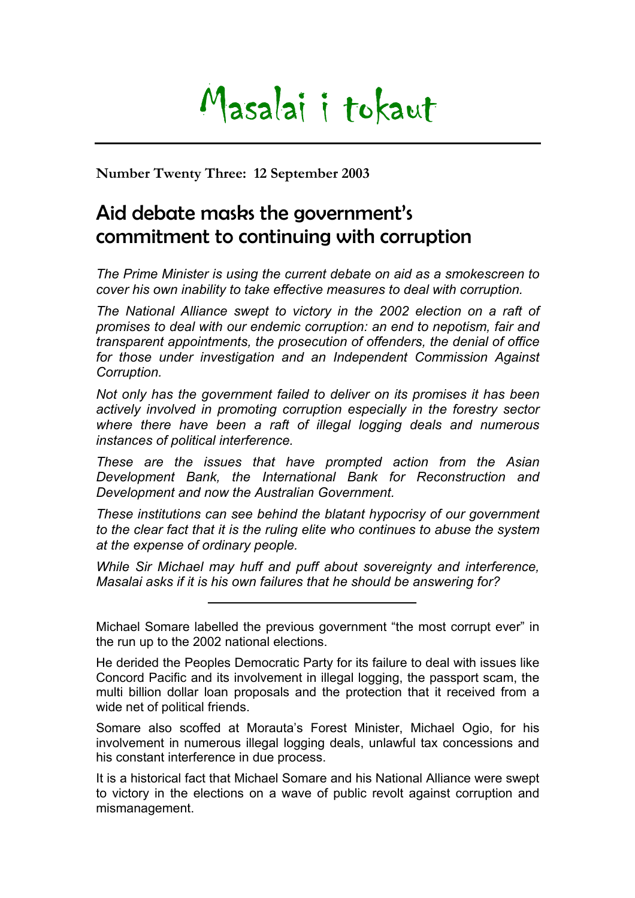## Masalai i tokaut

**Number Twenty Three: 12 September 2003** 

## Aid debate masks the government's commitment to continuing with corruption

*The Prime Minister is using the current debate on aid as a smokescreen to cover his own inability to take effective measures to deal with corruption.* 

*The National Alliance swept to victory in the 2002 election on a raft of promises to deal with our endemic corruption: an end to nepotism, fair and transparent appointments, the prosecution of offenders, the denial of office for those under investigation and an Independent Commission Against Corruption.* 

*Not only has the government failed to deliver on its promises it has been actively involved in promoting corruption especially in the forestry sector where there have been a raft of illegal logging deals and numerous instances of political interference.* 

*These are the issues that have prompted action from the Asian Development Bank, the International Bank for Reconstruction and Development and now the Australian Government.* 

*These institutions can see behind the blatant hypocrisy of our government to the clear fact that it is the ruling elite who continues to abuse the system at the expense of ordinary people.* 

*While Sir Michael may huff and puff about sovereignty and interference, Masalai asks if it is his own failures that he should be answering for?* 

Somare also scoffed at Morauta's Forest Minister, Michael Ogio, for his involvement in numerous illegal logging deals, unlawful tax concessions and his constant interference in due process.

It is a historical fact that Michael Somare and his National Alliance were swept to victory in the elections on a wave of public revolt against corruption and mismanagement.

Michael Somare labelled the previous government "the most corrupt ever" in the run up to the 2002 national elections.

He derided the Peoples Democratic Party for its failure to deal with issues like Concord Pacific and its involvement in illegal logging, the passport scam, the multi billion dollar loan proposals and the protection that it received from a wide net of political friends.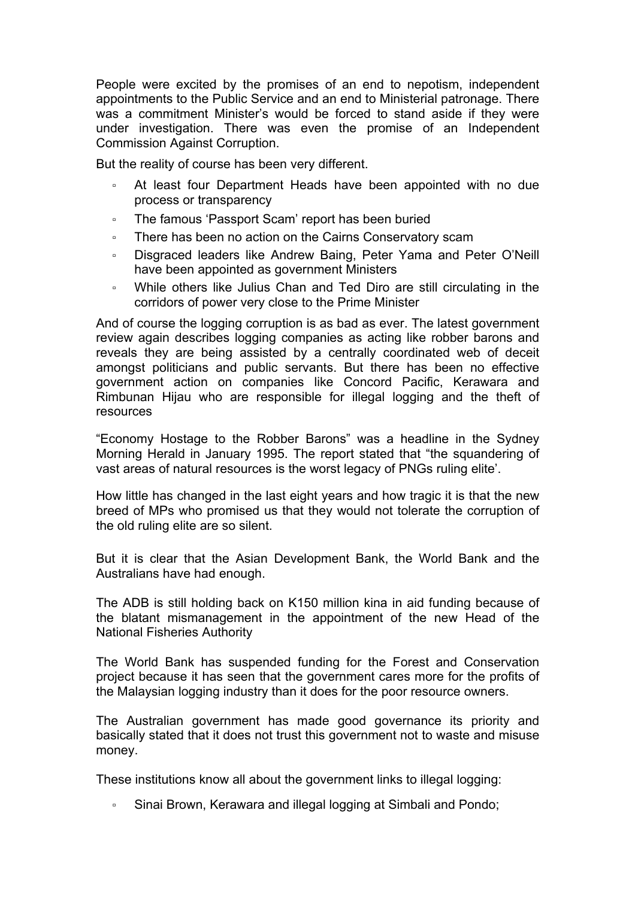People were excited by the promises of an end to nepotism, independent appointments to the Public Service and an end to Ministerial patronage. There was a commitment Minister's would be forced to stand aside if they were under investigation. There was even the promise of an Independent Commission Against Corruption.

But the reality of course has been very different.

- At least four Department Heads have been appointed with no due process or transparency
- The famous 'Passport Scam' report has been buried
- There has been no action on the Cairns Conservatory scam
- Disgraced leaders like Andrew Baing, Peter Yama and Peter O'Neill have been appointed as government Ministers
- While others like Julius Chan and Ted Diro are still circulating in the corridors of power very close to the Prime Minister

And of course the logging corruption is as bad as ever. The latest government review again describes logging companies as acting like robber barons and reveals they are being assisted by a centrally coordinated web of deceit amongst politicians and public servants. But there has been no effective government action on companies like Concord Pacific, Kerawara and Rimbunan Hijau who are responsible for illegal logging and the theft of resources

"Economy Hostage to the Robber Barons" was a headline in the Sydney Morning Herald in January 1995. The report stated that "the squandering of vast areas of natural resources is the worst legacy of PNGs ruling elite'.

How little has changed in the last eight years and how tragic it is that the new breed of MPs who promised us that they would not tolerate the corruption of the old ruling elite are so silent.

But it is clear that the Asian Development Bank, the World Bank and the Australians have had enough.

The ADB is still holding back on K150 million kina in aid funding because of the blatant mismanagement in the appointment of the new Head of the National Fisheries Authority

The World Bank has suspended funding for the Forest and Conservation project because it has seen that the government cares more for the profits of the Malaysian logging industry than it does for the poor resource owners.

The Australian government has made good governance its priority and basically stated that it does not trust this government not to waste and misuse money.

These institutions know all about the government links to illegal logging:

▫ Sinai Brown, Kerawara and illegal logging at Simbali and Pondo;